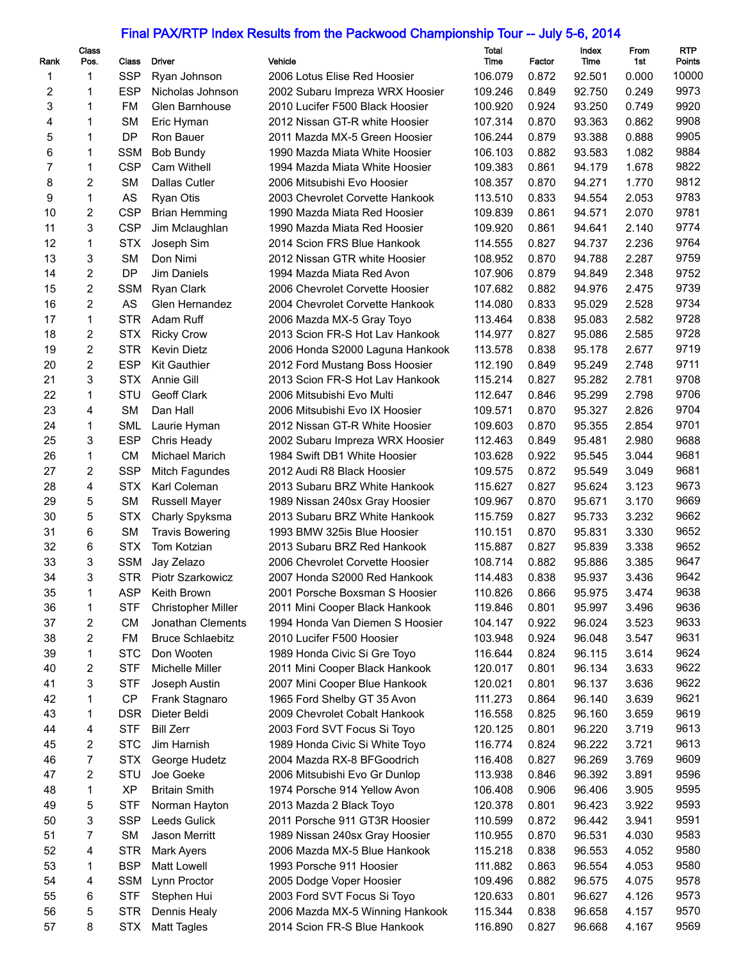## Final PAX/RTP Index Results from the Packwood Championship Tour -- July 5-6, 2014

|      | <b>Class</b>   |            |                           |                                 | <b>Total</b> |        | Index  | From  | <b>RTP</b> |
|------|----------------|------------|---------------------------|---------------------------------|--------------|--------|--------|-------|------------|
| Rank | Pos.           | Class      | <b>Driver</b>             | Vehicle                         | Time         | Factor | Time   | 1st   | Points     |
| 1    | 1              | <b>SSP</b> | Ryan Johnson              | 2006 Lotus Elise Red Hoosier    | 106.079      | 0.872  | 92.501 | 0.000 | 10000      |
| 2    | 1              | <b>ESP</b> | Nicholas Johnson          | 2002 Subaru Impreza WRX Hoosier | 109.246      | 0.849  | 92.750 | 0.249 | 9973       |
| 3    | 1              | FM         | Glen Barnhouse            | 2010 Lucifer F500 Black Hoosier | 100.920      | 0.924  | 93.250 | 0.749 | 9920       |
| 4    | 1              | <b>SM</b>  | Eric Hyman                | 2012 Nissan GT-R white Hoosier  | 107.314      | 0.870  | 93.363 | 0.862 | 9908       |
| 5    | 1              | <b>DP</b>  | Ron Bauer                 | 2011 Mazda MX-5 Green Hoosier   | 106.244      | 0.879  | 93.388 | 0.888 | 9905       |
| 6    | 1              | <b>SSM</b> | <b>Bob Bundy</b>          | 1990 Mazda Miata White Hoosier  | 106.103      | 0.882  | 93.583 | 1.082 | 9884       |
| 7    | 1              | <b>CSP</b> | Cam Withell               | 1994 Mazda Miata White Hoosier  | 109.383      | 0.861  | 94.179 | 1.678 | 9822       |
| 8    | 2              | <b>SM</b>  | Dallas Cutler             | 2006 Mitsubishi Evo Hoosier     | 108.357      | 0.870  | 94.271 | 1.770 | 9812       |
| 9    | 1              | AS         | Ryan Otis                 | 2003 Chevrolet Corvette Hankook | 113.510      | 0.833  | 94.554 | 2.053 | 9783       |
| 10   | 2              | <b>CSP</b> | <b>Brian Hemming</b>      | 1990 Mazda Miata Red Hoosier    | 109.839      | 0.861  | 94.571 | 2.070 | 9781       |
| 11   | 3              | <b>CSP</b> | Jim Mclaughlan            | 1990 Mazda Miata Red Hoosier    | 109.920      | 0.861  | 94.641 | 2.140 | 9774       |
| 12   | 1              | <b>STX</b> | Joseph Sim                | 2014 Scion FRS Blue Hankook     | 114.555      | 0.827  | 94.737 | 2.236 | 9764       |
| 13   | 3              | <b>SM</b>  | Don Nimi                  | 2012 Nissan GTR white Hoosier   | 108.952      | 0.870  | 94.788 | 2.287 | 9759       |
| 14   | 2              | <b>DP</b>  | Jim Daniels               | 1994 Mazda Miata Red Avon       | 107.906      | 0.879  | 94.849 | 2.348 | 9752       |
| 15   | $\mathbf{2}$   | <b>SSM</b> | Ryan Clark                | 2006 Chevrolet Corvette Hoosier | 107.682      | 0.882  | 94.976 | 2.475 | 9739       |
| 16   | $\overline{2}$ | <b>AS</b>  | Glen Hernandez            | 2004 Chevrolet Corvette Hankook | 114.080      | 0.833  | 95.029 | 2.528 | 9734       |
| 17   | 1              | <b>STR</b> | Adam Ruff                 | 2006 Mazda MX-5 Gray Toyo       | 113.464      | 0.838  | 95.083 | 2.582 | 9728       |
| 18   | $\overline{c}$ | <b>STX</b> | <b>Ricky Crow</b>         | 2013 Scion FR-S Hot Lav Hankook | 114.977      | 0.827  | 95.086 | 2.585 | 9728       |
| 19   | 2              | <b>STR</b> | <b>Kevin Dietz</b>        |                                 | 113.578      | 0.838  | 95.178 | 2.677 | 9719       |
|      |                |            |                           | 2006 Honda S2000 Laguna Hankook |              |        |        |       | 9711       |
| 20   | $\overline{2}$ | <b>ESP</b> | <b>Kit Gauthier</b>       | 2012 Ford Mustang Boss Hoosier  | 112.190      | 0.849  | 95.249 | 2.748 |            |
| 21   | 3              | <b>STX</b> | Annie Gill                | 2013 Scion FR-S Hot Lav Hankook | 115.214      | 0.827  | 95.282 | 2.781 | 9708       |
| 22   | 1              | STU        | <b>Geoff Clark</b>        | 2006 Mitsubishi Evo Multi       | 112.647      | 0.846  | 95.299 | 2.798 | 9706       |
| 23   | 4              | <b>SM</b>  | Dan Hall                  | 2006 Mitsubishi Evo IX Hoosier  | 109.571      | 0.870  | 95.327 | 2.826 | 9704       |
| 24   | 1              | <b>SML</b> | Laurie Hyman              | 2012 Nissan GT-R White Hoosier  | 109.603      | 0.870  | 95.355 | 2.854 | 9701       |
| 25   | 3              | <b>ESP</b> | Chris Heady               | 2002 Subaru Impreza WRX Hoosier | 112.463      | 0.849  | 95.481 | 2.980 | 9688       |
| 26   | 1              | <b>CM</b>  | Michael Marich            | 1984 Swift DB1 White Hoosier    | 103.628      | 0.922  | 95.545 | 3.044 | 9681       |
| 27   | 2              | <b>SSP</b> | Mitch Fagundes            | 2012 Audi R8 Black Hoosier      | 109.575      | 0.872  | 95.549 | 3.049 | 9681       |
| 28   | 4              | <b>STX</b> | Karl Coleman              | 2013 Subaru BRZ White Hankook   | 115.627      | 0.827  | 95.624 | 3.123 | 9673       |
| 29   | 5              | <b>SM</b>  | Russell Mayer             | 1989 Nissan 240sx Gray Hoosier  | 109.967      | 0.870  | 95.671 | 3.170 | 9669       |
| 30   | 5              | <b>STX</b> | Charly Spyksma            | 2013 Subaru BRZ White Hankook   | 115.759      | 0.827  | 95.733 | 3.232 | 9662       |
| 31   | 6              | <b>SM</b>  | <b>Travis Bowering</b>    | 1993 BMW 325is Blue Hoosier     | 110.151      | 0.870  | 95.831 | 3.330 | 9652       |
| 32   | 6              | <b>STX</b> | Tom Kotzian               | 2013 Subaru BRZ Red Hankook     | 115.887      | 0.827  | 95.839 | 3.338 | 9652       |
| 33   | 3              | <b>SSM</b> | Jay Zelazo                | 2006 Chevrolet Corvette Hoosier | 108.714      | 0.882  | 95.886 | 3.385 | 9647       |
| 34   | 3              | <b>STR</b> | Piotr Szarkowicz          | 2007 Honda S2000 Red Hankook    | 114.483      | 0.838  | 95.937 | 3.436 | 9642       |
| 35   | 1              | <b>ASP</b> | Keith Brown               | 2001 Porsche Boxsman S Hoosier  | 110.826      | 0.866  | 95.975 | 3.474 | 9638       |
| 36   | 1              | <b>STF</b> | <b>Christopher Miller</b> | 2011 Mini Cooper Black Hankook  | 119.846      | 0.801  | 95.997 | 3.496 | 9636       |
| 37   | 2              | CM         | Jonathan Clements         | 1994 Honda Van Diemen S Hoosier | 104.147      | 0.922  | 96.024 | 3.523 | 9633       |
| 38   | 2              | <b>FM</b>  | <b>Bruce Schlaebitz</b>   | 2010 Lucifer F500 Hoosier       | 103.948      | 0.924  | 96.048 | 3.547 | 9631       |
| 39   | 1              | <b>STC</b> | Don Wooten                | 1989 Honda Civic Si Gre Toyo    | 116.644      | 0.824  | 96.115 | 3.614 | 9624       |
| 40   | 2              | <b>STF</b> | Michelle Miller           | 2011 Mini Cooper Black Hankook  | 120.017      | 0.801  | 96.134 | 3.633 | 9622       |
| 41   | 3              | <b>STF</b> | Joseph Austin             | 2007 Mini Cooper Blue Hankook   | 120.021      | 0.801  | 96.137 | 3.636 | 9622       |
| 42   | 1              | <b>CP</b>  | Frank Stagnaro            | 1965 Ford Shelby GT 35 Avon     | 111.273      | 0.864  | 96.140 | 3.639 | 9621       |
| 43   | 1              | <b>DSR</b> | Dieter Beldi              | 2009 Chevrolet Cobalt Hankook   | 116.558      | 0.825  | 96.160 | 3.659 | 9619       |
| 44   | 4              | <b>STF</b> | <b>Bill Zerr</b>          | 2003 Ford SVT Focus Si Toyo     | 120.125      | 0.801  | 96.220 | 3.719 | 9613       |
| 45   | 2              | <b>STC</b> | Jim Harnish               | 1989 Honda Civic Si White Toyo  | 116.774      | 0.824  | 96.222 | 3.721 | 9613       |
| 46   | 7              | <b>STX</b> | George Hudetz             | 2004 Mazda RX-8 BFGoodrich      | 116.408      | 0.827  | 96.269 | 3.769 | 9609       |
| 47   | 2              | STU        | Joe Goeke                 | 2006 Mitsubishi Evo Gr Dunlop   | 113.938      | 0.846  | 96.392 | 3.891 | 9596       |
|      | 1              | <b>XP</b>  | <b>Britain Smith</b>      |                                 |              |        |        |       | 9595       |
| 48   |                |            |                           | 1974 Porsche 914 Yellow Avon    | 106.408      | 0.906  | 96.406 | 3.905 | 9593       |
| 49   | 5              | <b>STF</b> | Norman Hayton             | 2013 Mazda 2 Black Toyo         | 120.378      | 0.801  | 96.423 | 3.922 | 9591       |
| 50   | 3              | <b>SSP</b> | Leeds Gulick              | 2011 Porsche 911 GT3R Hoosier   | 110.599      | 0.872  | 96.442 | 3.941 |            |
| 51   | 7              | <b>SM</b>  | Jason Merritt             | 1989 Nissan 240sx Gray Hoosier  | 110.955      | 0.870  | 96.531 | 4.030 | 9583       |
| 52   | 4              | <b>STR</b> | <b>Mark Ayers</b>         | 2006 Mazda MX-5 Blue Hankook    | 115.218      | 0.838  | 96.553 | 4.052 | 9580       |
| 53   | 1              | <b>BSP</b> | Matt Lowell               | 1993 Porsche 911 Hoosier        | 111.882      | 0.863  | 96.554 | 4.053 | 9580       |
| 54   | 4              | <b>SSM</b> | Lynn Proctor              | 2005 Dodge Voper Hoosier        | 109.496      | 0.882  | 96.575 | 4.075 | 9578       |
| 55   | 6              | <b>STF</b> | Stephen Hui               | 2003 Ford SVT Focus Si Toyo     | 120.633      | 0.801  | 96.627 | 4.126 | 9573       |
| 56   | 5              | <b>STR</b> | Dennis Healy              | 2006 Mazda MX-5 Winning Hankook | 115.344      | 0.838  | 96.658 | 4.157 | 9570       |
| 57   | 8              | <b>STX</b> | <b>Matt Tagles</b>        | 2014 Scion FR-S Blue Hankook    | 116.890      | 0.827  | 96.668 | 4.167 | 9569       |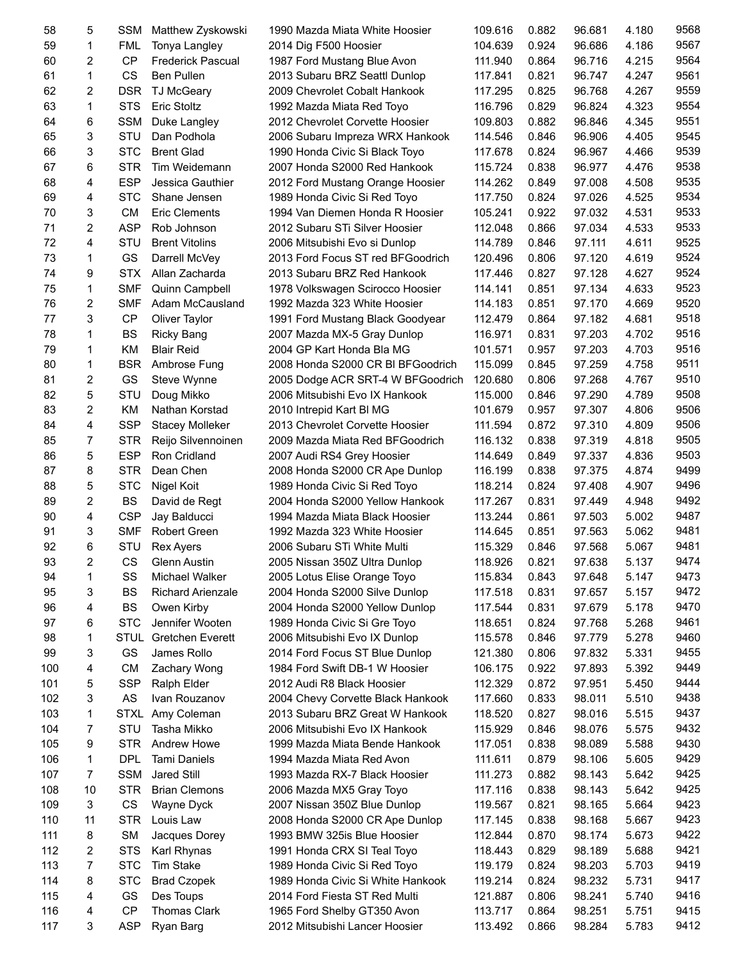| 58  | 5              | <b>SSM</b>  | Matthew Zyskowski        | 1990 Mazda Miata White Hoosier    | 109.616 | 0.882 | 96.681 | 4.180 | 9568 |
|-----|----------------|-------------|--------------------------|-----------------------------------|---------|-------|--------|-------|------|
| 59  | 1              | <b>FML</b>  | Tonya Langley            | 2014 Dig F500 Hoosier             | 104.639 | 0.924 | 96.686 | 4.186 | 9567 |
| 60  | $\overline{c}$ | <b>CP</b>   | <b>Frederick Pascual</b> | 1987 Ford Mustang Blue Avon       | 111.940 | 0.864 | 96.716 | 4.215 | 9564 |
| 61  | 1              | CS          | <b>Ben Pullen</b>        | 2013 Subaru BRZ Seattl Dunlop     | 117.841 | 0.821 | 96.747 | 4.247 | 9561 |
| 62  | 2              | <b>DSR</b>  | <b>TJ McGeary</b>        | 2009 Chevrolet Cobalt Hankook     | 117.295 | 0.825 | 96.768 | 4.267 | 9559 |
| 63  | 1              | <b>STS</b>  | <b>Eric Stoltz</b>       | 1992 Mazda Miata Red Toyo         | 116.796 | 0.829 | 96.824 | 4.323 | 9554 |
| 64  | 6              | <b>SSM</b>  | Duke Langley             | 2012 Chevrolet Corvette Hoosier   | 109.803 | 0.882 | 96.846 | 4.345 | 9551 |
| 65  | 3              | STU         | Dan Podhola              | 2006 Subaru Impreza WRX Hankook   | 114.546 | 0.846 | 96.906 | 4.405 | 9545 |
| 66  | 3              | <b>STC</b>  | <b>Brent Glad</b>        | 1990 Honda Civic Si Black Toyo    | 117.678 | 0.824 | 96.967 | 4.466 | 9539 |
| 67  | 6              | <b>STR</b>  | Tim Weidemann            | 2007 Honda S2000 Red Hankook      | 115.724 | 0.838 | 96.977 | 4.476 | 9538 |
| 68  | 4              | <b>ESP</b>  | Jessica Gauthier         | 2012 Ford Mustang Orange Hoosier  | 114.262 | 0.849 | 97.008 | 4.508 | 9535 |
| 69  | 4              | <b>STC</b>  | Shane Jensen             | 1989 Honda Civic Si Red Toyo      | 117.750 | 0.824 | 97.026 | 4.525 | 9534 |
| 70  | 3              | <b>CM</b>   | <b>Eric Clements</b>     | 1994 Van Diemen Honda R Hoosier   | 105.241 | 0.922 | 97.032 | 4.531 | 9533 |
| 71  | $\overline{c}$ | <b>ASP</b>  | Rob Johnson              | 2012 Subaru STi Silver Hoosier    | 112.048 | 0.866 | 97.034 | 4.533 | 9533 |
| 72  | 4              | STU         |                          |                                   |         |       |        | 4.611 | 9525 |
|     |                |             | <b>Brent Vitolins</b>    | 2006 Mitsubishi Evo si Dunlop     | 114.789 | 0.846 | 97.111 |       |      |
| 73  | 1              | GS          | Darrell McVey            | 2013 Ford Focus ST red BFGoodrich | 120.496 | 0.806 | 97.120 | 4.619 | 9524 |
| 74  | 9              | <b>STX</b>  | Allan Zacharda           | 2013 Subaru BRZ Red Hankook       | 117.446 | 0.827 | 97.128 | 4.627 | 9524 |
| 75  | 1              | <b>SMF</b>  | Quinn Campbell           | 1978 Volkswagen Scirocco Hoosier  | 114.141 | 0.851 | 97.134 | 4.633 | 9523 |
| 76  | 2              | <b>SMF</b>  | Adam McCausland          | 1992 Mazda 323 White Hoosier      | 114.183 | 0.851 | 97.170 | 4.669 | 9520 |
| 77  | 3              | <b>CP</b>   | Oliver Taylor            | 1991 Ford Mustang Black Goodyear  | 112.479 | 0.864 | 97.182 | 4.681 | 9518 |
| 78  | 1              | <b>BS</b>   | <b>Ricky Bang</b>        | 2007 Mazda MX-5 Gray Dunlop       | 116.971 | 0.831 | 97.203 | 4.702 | 9516 |
| 79  | 1              | KM          | <b>Blair Reid</b>        | 2004 GP Kart Honda Bla MG         | 101.571 | 0.957 | 97.203 | 4.703 | 9516 |
| 80  | 1              | <b>BSR</b>  | Ambrose Fung             | 2008 Honda S2000 CR BI BFGoodrich | 115.099 | 0.845 | 97.259 | 4.758 | 9511 |
| 81  | 2              | GS          | Steve Wynne              | 2005 Dodge ACR SRT-4 W BFGoodrich | 120.680 | 0.806 | 97.268 | 4.767 | 9510 |
| 82  | 5              | STU         | Doug Mikko               | 2006 Mitsubishi Evo IX Hankook    | 115.000 | 0.846 | 97.290 | 4.789 | 9508 |
| 83  | $\overline{c}$ | KM          | Nathan Korstad           | 2010 Intrepid Kart BI MG          | 101.679 | 0.957 | 97.307 | 4.806 | 9506 |
| 84  | 4              | <b>SSP</b>  | <b>Stacey Molleker</b>   | 2013 Chevrolet Corvette Hoosier   | 111.594 | 0.872 | 97.310 | 4.809 | 9506 |
| 85  | 7              | <b>STR</b>  | Reijo Silvennoinen       | 2009 Mazda Miata Red BFGoodrich   | 116.132 | 0.838 | 97.319 | 4.818 | 9505 |
| 86  | 5              | <b>ESP</b>  | Ron Cridland             | 2007 Audi RS4 Grey Hoosier        | 114.649 | 0.849 | 97.337 | 4.836 | 9503 |
| 87  | 8              | <b>STR</b>  | Dean Chen                | 2008 Honda S2000 CR Ape Dunlop    | 116.199 | 0.838 | 97.375 | 4.874 | 9499 |
| 88  | 5              | <b>STC</b>  | Nigel Koit               | 1989 Honda Civic Si Red Toyo      | 118.214 | 0.824 | 97.408 | 4.907 | 9496 |
| 89  | 2              | <b>BS</b>   | David de Regt            | 2004 Honda S2000 Yellow Hankook   | 117.267 | 0.831 | 97.449 | 4.948 | 9492 |
| 90  | 4              | <b>CSP</b>  | Jay Balducci             | 1994 Mazda Miata Black Hoosier    | 113.244 | 0.861 | 97.503 | 5.002 | 9487 |
| 91  | 3              | <b>SMF</b>  | Robert Green             | 1992 Mazda 323 White Hoosier      | 114.645 | 0.851 | 97.563 | 5.062 | 9481 |
| 92  | 6              | STU         | <b>Rex Ayers</b>         | 2006 Subaru STi White Multi       | 115.329 | 0.846 | 97.568 | 5.067 | 9481 |
| 93  | 2              | <b>CS</b>   | <b>Glenn Austin</b>      | 2005 Nissan 350Z Ultra Dunlop     | 118.926 | 0.821 | 97.638 | 5.137 | 9474 |
| 94  | 1              | SS          | Michael Walker           | 2005 Lotus Elise Orange Toyo      | 115.834 | 0.843 | 97.648 | 5.147 | 9473 |
| 95  | 3              | BS          | <b>Richard Arienzale</b> | 2004 Honda S2000 Silve Dunlop     | 117.518 | 0.831 | 97.657 | 5.157 | 9472 |
| 96  | 4              | <b>BS</b>   | Owen Kirby               | 2004 Honda S2000 Yellow Dunlop    | 117.544 | 0.831 | 97.679 | 5.178 | 9470 |
| 97  | 6              | <b>STC</b>  | Jennifer Wooten          | 1989 Honda Civic Si Gre Toyo      | 118.651 | 0.824 | 97.768 | 5.268 | 9461 |
| 98  | 1              | STUL        | <b>Gretchen Everett</b>  | 2006 Mitsubishi Evo IX Dunlop     | 115.578 | 0.846 | 97.779 | 5.278 | 9460 |
| 99  | 3              | GS          | James Rollo              | 2014 Ford Focus ST Blue Dunlop    | 121.380 | 0.806 | 97.832 | 5.331 | 9455 |
| 100 | 4              | <b>CM</b>   | Zachary Wong             | 1984 Ford Swift DB-1 W Hoosier    | 106.175 | 0.922 | 97.893 | 5.392 | 9449 |
| 101 | 5              | <b>SSP</b>  | Ralph Elder              | 2012 Audi R8 Black Hoosier        | 112.329 | 0.872 | 97.951 | 5.450 | 9444 |
| 102 | 3              | AS          | Ivan Rouzanov            | 2004 Chevy Corvette Black Hankook | 117.660 | 0.833 | 98.011 | 5.510 | 9438 |
| 103 | 1              | <b>STXL</b> | Amy Coleman              |                                   |         |       |        |       | 9437 |
|     | 7              | STU         |                          | 2013 Subaru BRZ Great W Hankook   | 118.520 | 0.827 | 98.016 | 5.515 | 9432 |
| 104 |                |             | Tasha Mikko              | 2006 Mitsubishi Evo IX Hankook    | 115.929 | 0.846 | 98.076 | 5.575 |      |
| 105 | 9              | <b>STR</b>  | Andrew Howe              | 1999 Mazda Miata Bende Hankook    | 117.051 | 0.838 | 98.089 | 5.588 | 9430 |
| 106 | 1              | <b>DPL</b>  | Tami Daniels             | 1994 Mazda Miata Red Avon         | 111.611 | 0.879 | 98.106 | 5.605 | 9429 |
| 107 | 7              | <b>SSM</b>  | Jared Still              | 1993 Mazda RX-7 Black Hoosier     | 111.273 | 0.882 | 98.143 | 5.642 | 9425 |
| 108 | 10             | <b>STR</b>  | <b>Brian Clemons</b>     | 2006 Mazda MX5 Gray Toyo          | 117.116 | 0.838 | 98.143 | 5.642 | 9425 |
| 109 | 3              | CS          | Wayne Dyck               | 2007 Nissan 350Z Blue Dunlop      | 119.567 | 0.821 | 98.165 | 5.664 | 9423 |
| 110 | 11             | <b>STR</b>  | Louis Law                | 2008 Honda S2000 CR Ape Dunlop    | 117.145 | 0.838 | 98.168 | 5.667 | 9423 |
| 111 | 8              | <b>SM</b>   | Jacques Dorey            | 1993 BMW 325is Blue Hoosier       | 112.844 | 0.870 | 98.174 | 5.673 | 9422 |
| 112 | 2              | <b>STS</b>  | Karl Rhynas              | 1991 Honda CRX SI Teal Toyo       | 118.443 | 0.829 | 98.189 | 5.688 | 9421 |
| 113 | 7              | <b>STC</b>  | Tim Stake                | 1989 Honda Civic Si Red Toyo      | 119.179 | 0.824 | 98.203 | 5.703 | 9419 |
| 114 | 8              | <b>STC</b>  | <b>Brad Czopek</b>       | 1989 Honda Civic Si White Hankook | 119.214 | 0.824 | 98.232 | 5.731 | 9417 |
| 115 | 4              | GS          | Des Toups                | 2014 Ford Fiesta ST Red Multi     | 121.887 | 0.806 | 98.241 | 5.740 | 9416 |
| 116 | 4              | <b>CP</b>   | Thomas Clark             | 1965 Ford Shelby GT350 Avon       | 113.717 | 0.864 | 98.251 | 5.751 | 9415 |
| 117 | 3              | <b>ASP</b>  | Ryan Barg                | 2012 Mitsubishi Lancer Hoosier    | 113.492 | 0.866 | 98.284 | 5.783 | 9412 |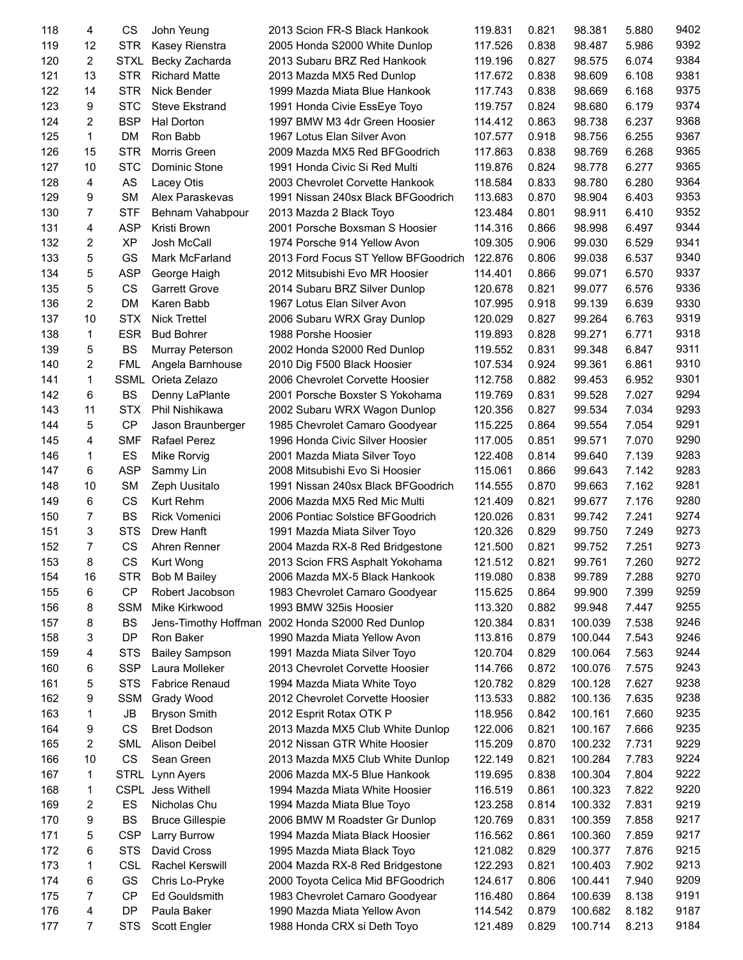| 118 | 4              | CS          | John Yeung             | 2013 Scion FR-S Black Hankook        | 119.831 | 0.821 | 98.381  | 5.880 | 9402 |
|-----|----------------|-------------|------------------------|--------------------------------------|---------|-------|---------|-------|------|
| 119 | 12             | <b>STR</b>  | Kasey Rienstra         | 2005 Honda S2000 White Dunlop        | 117.526 | 0.838 | 98.487  | 5.986 | 9392 |
| 120 | 2              | <b>STXL</b> | Becky Zacharda         | 2013 Subaru BRZ Red Hankook          | 119.196 | 0.827 | 98.575  | 6.074 | 9384 |
| 121 | 13             | <b>STR</b>  | <b>Richard Matte</b>   | 2013 Mazda MX5 Red Dunlop            | 117.672 | 0.838 | 98.609  | 6.108 | 9381 |
| 122 | 14             | <b>STR</b>  | Nick Bender            | 1999 Mazda Miata Blue Hankook        | 117.743 | 0.838 | 98.669  | 6.168 | 9375 |
| 123 | 9              | <b>STC</b>  | <b>Steve Ekstrand</b>  | 1991 Honda Civie EssEye Toyo         | 119.757 | 0.824 | 98.680  | 6.179 | 9374 |
| 124 | 2              | <b>BSP</b>  | Hal Dorton             | 1997 BMW M3 4dr Green Hoosier        | 114.412 | 0.863 | 98.738  | 6.237 | 9368 |
| 125 | 1              | <b>DM</b>   | Ron Babb               | 1967 Lotus Elan Silver Avon          | 107.577 | 0.918 | 98.756  | 6.255 | 9367 |
| 126 | 15             | <b>STR</b>  | Morris Green           | 2009 Mazda MX5 Red BFGoodrich        | 117.863 | 0.838 | 98.769  | 6.268 | 9365 |
|     |                |             |                        |                                      |         |       |         |       |      |
| 127 | 10             | <b>STC</b>  | Dominic Stone          | 1991 Honda Civic Si Red Multi        | 119.876 | 0.824 | 98.778  | 6.277 | 9365 |
| 128 | 4              | AS          | Lacey Otis             | 2003 Chevrolet Corvette Hankook      | 118.584 | 0.833 | 98.780  | 6.280 | 9364 |
| 129 | 9              | <b>SM</b>   | Alex Paraskevas        | 1991 Nissan 240sx Black BFGoodrich   | 113.683 | 0.870 | 98.904  | 6.403 | 9353 |
| 130 | $\overline{7}$ | <b>STF</b>  | Behnam Vahabpour       | 2013 Mazda 2 Black Toyo              | 123.484 | 0.801 | 98.911  | 6.410 | 9352 |
| 131 | 4              | <b>ASP</b>  | Kristi Brown           | 2001 Porsche Boxsman S Hoosier       | 114.316 | 0.866 | 98.998  | 6.497 | 9344 |
| 132 | 2              | <b>XP</b>   | Josh McCall            | 1974 Porsche 914 Yellow Avon         | 109.305 | 0.906 | 99.030  | 6.529 | 9341 |
| 133 | 5              | GS          | Mark McFarland         | 2013 Ford Focus ST Yellow BFGoodrich | 122.876 | 0.806 | 99.038  | 6.537 | 9340 |
| 134 | 5              | <b>ASP</b>  | George Haigh           | 2012 Mitsubishi Evo MR Hoosier       | 114.401 | 0.866 | 99.071  | 6.570 | 9337 |
| 135 | 5              | <b>CS</b>   | <b>Garrett Grove</b>   | 2014 Subaru BRZ Silver Dunlop        | 120.678 | 0.821 | 99.077  | 6.576 | 9336 |
| 136 | $\overline{2}$ | <b>DM</b>   | Karen Babb             | 1967 Lotus Elan Silver Avon          | 107.995 | 0.918 | 99.139  | 6.639 | 9330 |
| 137 | 10             | <b>STX</b>  | <b>Nick Trettel</b>    | 2006 Subaru WRX Gray Dunlop          | 120.029 | 0.827 | 99.264  | 6.763 | 9319 |
| 138 | 1              | <b>ESR</b>  | <b>Bud Bohrer</b>      | 1988 Porshe Hoosier                  | 119.893 | 0.828 | 99.271  | 6.771 | 9318 |
| 139 | 5              | <b>BS</b>   | Murray Peterson        | 2002 Honda S2000 Red Dunlop          | 119.552 | 0.831 | 99.348  | 6.847 | 9311 |
| 140 | $\overline{2}$ | <b>FML</b>  | Angela Barnhouse       | 2010 Dig F500 Black Hoosier          | 107.534 | 0.924 | 99.361  | 6.861 | 9310 |
| 141 | 1              | <b>SSML</b> | Orieta Zelazo          | 2006 Chevrolet Corvette Hoosier      | 112.758 | 0.882 | 99.453  | 6.952 | 9301 |
| 142 | 6              | <b>BS</b>   |                        | 2001 Porsche Boxster S Yokohama      | 119.769 | 0.831 | 99.528  | 7.027 | 9294 |
|     | 11             | <b>STX</b>  | Denny LaPlante         |                                      |         |       |         |       | 9293 |
| 143 |                |             | Phil Nishikawa         | 2002 Subaru WRX Wagon Dunlop         | 120.356 | 0.827 | 99.534  | 7.034 |      |
| 144 | 5              | <b>CP</b>   | Jason Braunberger      | 1985 Chevrolet Camaro Goodyear       | 115.225 | 0.864 | 99.554  | 7.054 | 9291 |
| 145 | 4              | <b>SMF</b>  | Rafael Perez           | 1996 Honda Civic Silver Hoosier      | 117.005 | 0.851 | 99.571  | 7.070 | 9290 |
| 146 | 1              | ES          | Mike Rorvig            | 2001 Mazda Miata Silver Toyo         | 122.408 | 0.814 | 99.640  | 7.139 | 9283 |
| 147 | 6              | <b>ASP</b>  | Sammy Lin              | 2008 Mitsubishi Evo Si Hoosier       | 115.061 | 0.866 | 99.643  | 7.142 | 9283 |
| 148 | 10             | <b>SM</b>   | Zeph Uusitalo          | 1991 Nissan 240sx Black BFGoodrich   | 114.555 | 0.870 | 99.663  | 7.162 | 9281 |
| 149 | 6              | <b>CS</b>   | Kurt Rehm              | 2006 Mazda MX5 Red Mic Multi         | 121.409 | 0.821 | 99.677  | 7.176 | 9280 |
| 150 | 7              | <b>BS</b>   | <b>Rick Vomenici</b>   | 2006 Pontiac Solstice BFGoodrich     | 120.026 | 0.831 | 99.742  | 7.241 | 9274 |
| 151 | 3              | <b>STS</b>  | Drew Hanft             | 1991 Mazda Miata Silver Toyo         | 120.326 | 0.829 | 99.750  | 7.249 | 9273 |
| 152 | $\overline{7}$ | CS          | Ahren Renner           | 2004 Mazda RX-8 Red Bridgestone      | 121.500 | 0.821 | 99.752  | 7.251 | 9273 |
| 153 | 8              | CS          | Kurt Wong              | 2013 Scion FRS Asphalt Yokohama      | 121.512 | 0.821 | 99.761  | 7.260 | 9272 |
| 154 | 16             | <b>STR</b>  | <b>Bob M Bailey</b>    | 2006 Mazda MX-5 Black Hankook        | 119.080 | 0.838 | 99.789  | 7.288 | 9270 |
| 155 | 6              | <b>CP</b>   | Robert Jacobson        | 1983 Chevrolet Camaro Goodyear       | 115.625 | 0.864 | 99.900  | 7.399 | 9259 |
| 156 | 8              | <b>SSM</b>  | Mike Kirkwood          | 1993 BMW 325is Hoosier               | 113.320 | 0.882 | 99.948  | 7.447 | 9255 |
| 157 | 8              | BS          | Jens-Timothy Hoffman   | 2002 Honda S2000 Red Dunlop          | 120.384 | 0.831 | 100.039 | 7.538 | 9246 |
| 158 | 3              | <b>DP</b>   | Ron Baker              | 1990 Mazda Miata Yellow Avon         | 113.816 | 0.879 | 100.044 | 7.543 | 9246 |
| 159 | 4              | <b>STS</b>  | <b>Bailey Sampson</b>  | 1991 Mazda Miata Silver Toyo         | 120.704 | 0.829 | 100.064 | 7.563 | 9244 |
| 160 | 6              | <b>SSP</b>  | Laura Molleker         | 2013 Chevrolet Corvette Hoosier      | 114.766 | 0.872 | 100.076 | 7.575 | 9243 |
| 161 | 5              | <b>STS</b>  | <b>Fabrice Renaud</b>  | 1994 Mazda Miata White Toyo          | 120.782 | 0.829 | 100.128 | 7.627 | 9238 |
| 162 | 9              | <b>SSM</b>  | Grady Wood             | 2012 Chevrolet Corvette Hoosier      | 113.533 | 0.882 | 100.136 | 7.635 | 9238 |
|     |                | JB          |                        |                                      |         |       | 100.161 | 7.660 | 9235 |
| 163 | 1              |             | <b>Bryson Smith</b>    | 2012 Esprit Rotax OTK P              | 118.956 | 0.842 |         |       |      |
| 164 | 9              | CS          | <b>Bret Dodson</b>     | 2013 Mazda MX5 Club White Dunlop     | 122.006 | 0.821 | 100.167 | 7.666 | 9235 |
| 165 | 2              | <b>SML</b>  | Alison Deibel          | 2012 Nissan GTR White Hoosier        | 115.209 | 0.870 | 100.232 | 7.731 | 9229 |
| 166 | 10             | CS          | Sean Green             | 2013 Mazda MX5 Club White Dunlop     | 122.149 | 0.821 | 100.284 | 7.783 | 9224 |
| 167 | 1              | <b>STRL</b> | Lynn Ayers             | 2006 Mazda MX-5 Blue Hankook         | 119.695 | 0.838 | 100.304 | 7.804 | 9222 |
| 168 | 1              |             | CSPL Jess Withell      | 1994 Mazda Miata White Hoosier       | 116.519 | 0.861 | 100.323 | 7.822 | 9220 |
| 169 | 2              | ES          | Nicholas Chu           | 1994 Mazda Miata Blue Toyo           | 123.258 | 0.814 | 100.332 | 7.831 | 9219 |
| 170 | 9              | BS          | <b>Bruce Gillespie</b> | 2006 BMW M Roadster Gr Dunlop        | 120.769 | 0.831 | 100.359 | 7.858 | 9217 |
| 171 | 5              | <b>CSP</b>  | Larry Burrow           | 1994 Mazda Miata Black Hoosier       | 116.562 | 0.861 | 100.360 | 7.859 | 9217 |
| 172 | 6              | <b>STS</b>  | David Cross            | 1995 Mazda Miata Black Toyo          | 121.082 | 0.829 | 100.377 | 7.876 | 9215 |
| 173 | 1              | <b>CSL</b>  | Rachel Kerswill        | 2004 Mazda RX-8 Red Bridgestone      | 122.293 | 0.821 | 100.403 | 7.902 | 9213 |
| 174 | 6              | GS          | Chris Lo-Pryke         | 2000 Toyota Celica Mid BFGoodrich    | 124.617 | 0.806 | 100.441 | 7.940 | 9209 |
| 175 | 7              | CP          | Ed Gouldsmith          | 1983 Chevrolet Camaro Goodyear       | 116.480 | 0.864 | 100.639 | 8.138 | 9191 |
| 176 | 4              | DP          | Paula Baker            | 1990 Mazda Miata Yellow Avon         | 114.542 | 0.879 | 100.682 | 8.182 | 9187 |
| 177 | $\overline{7}$ | <b>STS</b>  | Scott Engler           | 1988 Honda CRX si Deth Toyo          | 121.489 | 0.829 | 100.714 | 8.213 | 9184 |
|     |                |             |                        |                                      |         |       |         |       |      |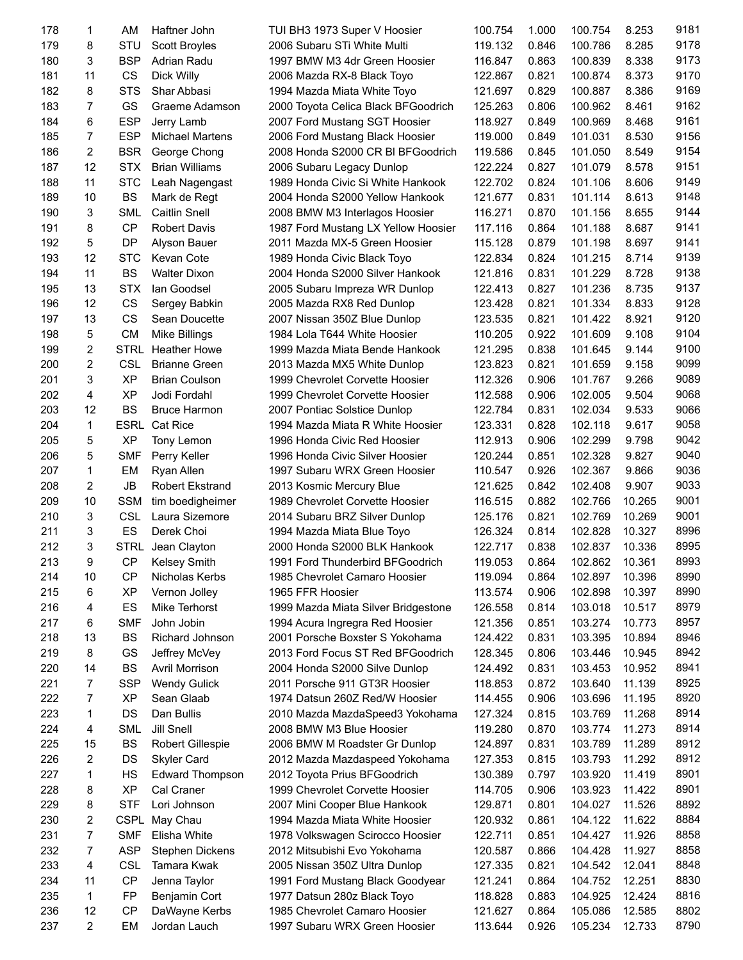| 178 | 1              | AM          | Haftner John            | TUI BH3 1973 Super V Hoosier        | 100.754 | 1.000 | 100.754 | 8.253  | 9181 |
|-----|----------------|-------------|-------------------------|-------------------------------------|---------|-------|---------|--------|------|
| 179 | 8              | STU         | <b>Scott Broyles</b>    | 2006 Subaru STi White Multi         | 119.132 | 0.846 | 100.786 | 8.285  | 9178 |
| 180 | 3              | <b>BSP</b>  | Adrian Radu             | 1997 BMW M3 4dr Green Hoosier       | 116.847 | 0.863 | 100.839 | 8.338  | 9173 |
| 181 | 11             | <b>CS</b>   | Dick Willy              | 2006 Mazda RX-8 Black Toyo          | 122.867 | 0.821 | 100.874 | 8.373  | 9170 |
| 182 | 8              | <b>STS</b>  | Shar Abbasi             | 1994 Mazda Miata White Toyo         | 121.697 | 0.829 | 100.887 | 8.386  | 9169 |
| 183 | 7              | GS          | Graeme Adamson          | 2000 Toyota Celica Black BFGoodrich | 125.263 | 0.806 | 100.962 | 8.461  | 9162 |
| 184 | 6              | <b>ESP</b>  | Jerry Lamb              | 2007 Ford Mustang SGT Hoosier       | 118.927 | 0.849 | 100.969 | 8.468  | 9161 |
| 185 | 7              | <b>ESP</b>  | <b>Michael Martens</b>  | 2006 Ford Mustang Black Hoosier     | 119.000 | 0.849 | 101.031 | 8.530  | 9156 |
| 186 | 2              | <b>BSR</b>  | George Chong            | 2008 Honda S2000 CR BI BFGoodrich   | 119.586 | 0.845 | 101.050 | 8.549  | 9154 |
| 187 | 12             | <b>STX</b>  | <b>Brian Williams</b>   |                                     |         | 0.827 | 101.079 | 8.578  | 9151 |
|     |                |             |                         | 2006 Subaru Legacy Dunlop           | 122.224 |       |         |        |      |
| 188 | 11             | <b>STC</b>  | Leah Nagengast          | 1989 Honda Civic Si White Hankook   | 122.702 | 0.824 | 101.106 | 8.606  | 9149 |
| 189 | 10             | <b>BS</b>   | Mark de Regt            | 2004 Honda S2000 Yellow Hankook     | 121.677 | 0.831 | 101.114 | 8.613  | 9148 |
| 190 | 3              | <b>SML</b>  | <b>Caitlin Snell</b>    | 2008 BMW M3 Interlagos Hoosier      | 116.271 | 0.870 | 101.156 | 8.655  | 9144 |
| 191 | 8              | <b>CP</b>   | <b>Robert Davis</b>     | 1987 Ford Mustang LX Yellow Hoosier | 117.116 | 0.864 | 101.188 | 8.687  | 9141 |
| 192 | 5              | <b>DP</b>   | Alyson Bauer            | 2011 Mazda MX-5 Green Hoosier       | 115.128 | 0.879 | 101.198 | 8.697  | 9141 |
| 193 | 12             | <b>STC</b>  | Kevan Cote              | 1989 Honda Civic Black Toyo         | 122.834 | 0.824 | 101.215 | 8.714  | 9139 |
| 194 | 11             | <b>BS</b>   | <b>Walter Dixon</b>     | 2004 Honda S2000 Silver Hankook     | 121.816 | 0.831 | 101.229 | 8.728  | 9138 |
| 195 | 13             | <b>STX</b>  | lan Goodsel             | 2005 Subaru Impreza WR Dunlop       | 122.413 | 0.827 | 101.236 | 8.735  | 9137 |
| 196 | 12             | CS          | Sergey Babkin           | 2005 Mazda RX8 Red Dunlop           | 123.428 | 0.821 | 101.334 | 8.833  | 9128 |
| 197 | 13             | CS          | Sean Doucette           | 2007 Nissan 350Z Blue Dunlop        | 123.535 | 0.821 | 101.422 | 8.921  | 9120 |
| 198 | 5              | <b>CM</b>   | <b>Mike Billings</b>    | 1984 Lola T644 White Hoosier        | 110.205 | 0.922 | 101.609 | 9.108  | 9104 |
| 199 | $\overline{2}$ | <b>STRL</b> | <b>Heather Howe</b>     | 1999 Mazda Miata Bende Hankook      | 121.295 | 0.838 | 101.645 | 9.144  | 9100 |
| 200 | 2              | <b>CSL</b>  | <b>Brianne Green</b>    | 2013 Mazda MX5 White Dunlop         | 123.823 | 0.821 | 101.659 | 9.158  | 9099 |
| 201 | 3              | <b>XP</b>   | <b>Brian Coulson</b>    | 1999 Chevrolet Corvette Hoosier     | 112.326 | 0.906 | 101.767 | 9.266  | 9089 |
| 202 | 4              | <b>XP</b>   | Jodi Fordahl            | 1999 Chevrolet Corvette Hoosier     | 112.588 | 0.906 | 102.005 | 9.504  | 9068 |
| 203 | 12             | <b>BS</b>   | <b>Bruce Harmon</b>     | 2007 Pontiac Solstice Dunlop        | 122.784 | 0.831 | 102.034 | 9.533  | 9066 |
| 204 | $\mathbf{1}$   | <b>ESRL</b> | Cat Rice                | 1994 Mazda Miata R White Hoosier    |         | 0.828 | 102.118 |        | 9058 |
|     |                |             |                         |                                     | 123.331 |       |         | 9.617  | 9042 |
| 205 | 5              | <b>XP</b>   | Tony Lemon              | 1996 Honda Civic Red Hoosier        | 112.913 | 0.906 | 102.299 | 9.798  |      |
| 206 | 5              | <b>SMF</b>  | Perry Keller            | 1996 Honda Civic Silver Hoosier     | 120.244 | 0.851 | 102.328 | 9.827  | 9040 |
| 207 | 1              | EM          | Ryan Allen              | 1997 Subaru WRX Green Hoosier       | 110.547 | 0.926 | 102.367 | 9.866  | 9036 |
| 208 | 2              | JB          | <b>Robert Ekstrand</b>  | 2013 Kosmic Mercury Blue            | 121.625 | 0.842 | 102.408 | 9.907  | 9033 |
| 209 | 10             | <b>SSM</b>  | tim boedigheimer        | 1989 Chevrolet Corvette Hoosier     | 116.515 | 0.882 | 102.766 | 10.265 | 9001 |
| 210 | 3              | <b>CSL</b>  | Laura Sizemore          | 2014 Subaru BRZ Silver Dunlop       | 125.176 | 0.821 | 102.769 | 10.269 | 9001 |
| 211 | 3              | ES          | Derek Choi              | 1994 Mazda Miata Blue Toyo          | 126.324 | 0.814 | 102.828 | 10.327 | 8996 |
| 212 | 3              | STRL        | Jean Clayton            | 2000 Honda S2000 BLK Hankook        | 122.717 | 0.838 | 102.837 | 10.336 | 8995 |
| 213 | 9              | <b>CP</b>   | <b>Kelsey Smith</b>     | 1991 Ford Thunderbird BFGoodrich    | 119.053 | 0.864 | 102.862 | 10.361 | 8993 |
| 214 | 10             | СP          | Nicholas Kerbs          | 1985 Chevrolet Camaro Hoosier       | 119.094 | 0.864 | 102.897 | 10.396 | 8990 |
| 215 | 6              | <b>XP</b>   | Vernon Jolley           | 1965 FFR Hoosier                    | 113.574 | 0.906 | 102.898 | 10.397 | 8990 |
| 216 | 4              | ES          | Mike Terhorst           | 1999 Mazda Miata Silver Bridgestone | 126.558 | 0.814 | 103.018 | 10.517 | 8979 |
| 217 | 6              | <b>SMF</b>  | John Jobin              | 1994 Acura Ingregra Red Hoosier     | 121.356 | 0.851 | 103.274 | 10.773 | 8957 |
| 218 | 13             | BS          | Richard Johnson         | 2001 Porsche Boxster S Yokohama     | 124.422 | 0.831 | 103.395 | 10.894 | 8946 |
| 219 | 8              | GS          | Jeffrey McVey           | 2013 Ford Focus ST Red BFGoodrich   | 128.345 | 0.806 | 103.446 | 10.945 | 8942 |
| 220 | 14             | <b>BS</b>   | Avril Morrison          | 2004 Honda S2000 Silve Dunlop       | 124.492 | 0.831 | 103.453 | 10.952 | 8941 |
| 221 | 7              | <b>SSP</b>  | <b>Wendy Gulick</b>     | 2011 Porsche 911 GT3R Hoosier       | 118.853 | 0.872 | 103.640 | 11.139 | 8925 |
| 222 | 7              | <b>XP</b>   | Sean Glaab              |                                     |         |       | 103.696 |        | 8920 |
|     |                |             |                         | 1974 Datsun 260Z Red/W Hoosier      | 114.455 | 0.906 |         | 11.195 |      |
| 223 | 1              | DS          | Dan Bullis              | 2010 Mazda MazdaSpeed3 Yokohama     | 127.324 | 0.815 | 103.769 | 11.268 | 8914 |
| 224 | 4              | <b>SML</b>  | <b>Jill Snell</b>       | 2008 BMW M3 Blue Hoosier            | 119.280 | 0.870 | 103.774 | 11.273 | 8914 |
| 225 | 15             | <b>BS</b>   | <b>Robert Gillespie</b> | 2006 BMW M Roadster Gr Dunlop       | 124.897 | 0.831 | 103.789 | 11.289 | 8912 |
| 226 | 2              | DS          | <b>Skyler Card</b>      | 2012 Mazda Mazdaspeed Yokohama      | 127.353 | 0.815 | 103.793 | 11.292 | 8912 |
| 227 | 1              | HS          | <b>Edward Thompson</b>  | 2012 Toyota Prius BFGoodrich        | 130.389 | 0.797 | 103.920 | 11.419 | 8901 |
| 228 | 8              | <b>XP</b>   | Cal Craner              | 1999 Chevrolet Corvette Hoosier     | 114.705 | 0.906 | 103.923 | 11.422 | 8901 |
| 229 | 8              | <b>STF</b>  | Lori Johnson            | 2007 Mini Cooper Blue Hankook       | 129.871 | 0.801 | 104.027 | 11.526 | 8892 |
| 230 | 2              | <b>CSPL</b> | May Chau                | 1994 Mazda Miata White Hoosier      | 120.932 | 0.861 | 104.122 | 11.622 | 8884 |
| 231 | 7              | <b>SMF</b>  | Elisha White            | 1978 Volkswagen Scirocco Hoosier    | 122.711 | 0.851 | 104.427 | 11.926 | 8858 |
| 232 | 7              | <b>ASP</b>  | <b>Stephen Dickens</b>  | 2012 Mitsubishi Evo Yokohama        | 120.587 | 0.866 | 104.428 | 11.927 | 8858 |
| 233 | 4              | <b>CSL</b>  | Tamara Kwak             | 2005 Nissan 350Z Ultra Dunlop       | 127.335 | 0.821 | 104.542 | 12.041 | 8848 |
| 234 | 11             | <b>CP</b>   | Jenna Taylor            | 1991 Ford Mustang Black Goodyear    | 121.241 | 0.864 | 104.752 | 12.251 | 8830 |
| 235 | 1              | <b>FP</b>   | Benjamin Cort           | 1977 Datsun 280z Black Toyo         | 118.828 | 0.883 | 104.925 | 12.424 | 8816 |
| 236 | 12             | <b>CP</b>   | DaWayne Kerbs           | 1985 Chevrolet Camaro Hoosier       | 121.627 | 0.864 | 105.086 | 12.585 | 8802 |
| 237 | $\overline{c}$ | EM          | Jordan Lauch            | 1997 Subaru WRX Green Hoosier       | 113.644 | 0.926 | 105.234 | 12.733 | 8790 |
|     |                |             |                         |                                     |         |       |         |        |      |